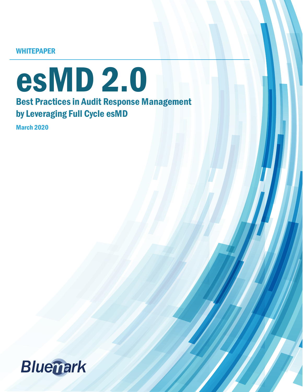**WHITEPAPER** 

# esMD 2.0 Best Practices in Audit Response Management by Leveraging Full Cycle esMD

March 2020

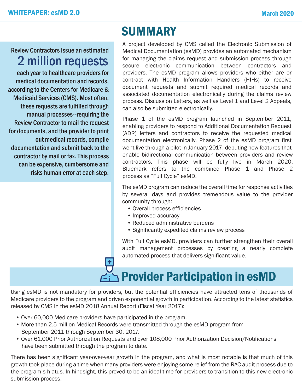#### Review Contractors issue an estimated 2 million requests

each year to healthcare providers for medical documentation and records, according to the Centers for Medicare & Medicaid Services (CMS). Most often, these requests are fulfilled through manual processes--requiring the Review Contractor to mail the request for documents, and the provider to print out medical records, compile documentation and submit back to the contractor by mail or fax. This process can be expensive, cumbersome and risks human error at each step.

# **SUMMARY**

A project developed by CMS called the Electronic Submission of Medical Documentation (esMD) provides an automated mechanism for managing the claims request and submission process through secure electronic communication between contractors and providers. The esMD program allows providers who either are or contract with Health Information Handlers (HIHs) to receive document requests and submit required medical records and associated documentation electronically during the claims review process. Discussion Letters, as well as Level 1 and Level 2 Appeals, can also be submitted electronically.

Phase 1 of the esMD program launched in September 2011, enabling providers to respond to Additional Documentation Request (ADR) letters and contractors to receive the requested medical documentation electronically. Phase 2 of the esMD program first went live through a pilot in January 2017, debuting new features that enable bidirectional communication between providers and review contractors. This phase will be fully live in March 2020. Bluemark refers to the combined Phase 1 and Phase 2 process as "Full Cycle" esMD.

The esMD program can reduce the overall time for response activities by several days and provides tremendous value to the provider community through:

- Overall process efficiencies
- Improved accuracy
- Reduced administrative burdens
- Significantly expedited claims review process

With Full Cycle esMD, providers can further strengthen their overall audit management processes by creating a nearly complete automated process that delivers significant value.

# **P**<br>**Provider Participation in esMD**

Using esMD is not mandatory for providers, but the potential efficiencies have attracted tens of thousands of Medicare providers to the program and driven exponential growth in participation. According to the latest statistics released by CMS in the esMD 2018 Annual Report (Fiscal Year 2017):

- Over 60,000 Medicare providers have participated in the program.
- More than 2.5 million Medical Records were transmitted through the esMD program from September 2011 through September 30, 2017.
- Over 61,000 Prior Authorization Requests and over 108,000 Prior Authorization Decision/Notifications have been submitted through the program to date.

There has been significant year-over-year growth in the program, and what is most notable is that much of this growth took place during a time when many providers were enjoying some relief from the RAC audit process due to the program's hiatus. In hindsight, this proved to be an ideal time for providers to transition to this new electronic submission process.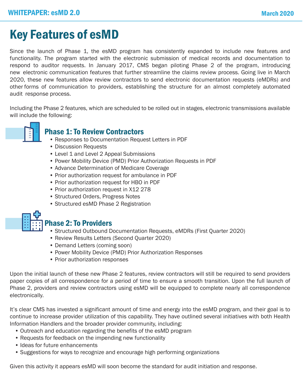# Key Features of esMD

Since the launch of Phase 1, the esMD program has consistently expanded to include new features and functionality. The program started with the electronic submission of medical records and documentation to respond to auditor requests. In January 2017, CMS began piloting Phase 2 of the program, introducing new electronic communication features that further streamline the claims review process. Going live in March 2020, these new features allow review contractors to send electronic documentation requests (eMDRs) and other forms of communication to providers, establishing the structure for an almost completely automated audit response process.

Including the Phase 2 features, which are scheduled to be rolled out in stages, electronic transmissions available will include the following:



#### Phase 1: To Review Contractors

- Responses to Documentation Request Letters in PDF
- Discussion Requests
- Level 1 and Level 2 Appeal Submissions
- Power Mobility Device (PMD) Prior Authorization Requests in PDF
- Advance Determination of Medicare Coverage
- Prior authorization request for ambulance in PDF
- Prior authorization request for HBO in PDF
- Prior authorization request in X12 278
- Structured Orders, Progress Notes
- Structured esMD Phase 2 Registration



#### Phase 2: To Providers

- Structured Outbound Documentation Requests, eMDRs (First Quarter 2020)
- Review Results Letters (Second Quarter 2020)
- Demand Letters (coming soon)
- Power Mobility Device (PMD) Prior Authorization Responses
- Prior authorization responses

Upon the initial launch of these new Phase 2 features, review contractors will still be required to send providers paper copies of all correspondence for a period of time to ensure a smooth transition. Upon the full launch of Phase 2, providers and review contractors using esMD will be equipped to complete nearly all correspondence electronically.

It's clear CMS has invested a significant amount of time and energy into the esMD program, and their goal is to continue to increase provider utilization of this capability. They have outlined several initiatives with both Health Information Handlers and the broader provider community, including:

- Outreach and education regarding the benefits of the esMD program
- Requests for feedback on the impending new functionality
- Ideas for future enhancements
- Suggestions for ways to recognize and encourage high performing organizations

Given this activity it appears esMD will soon become the standard for audit initiation and response.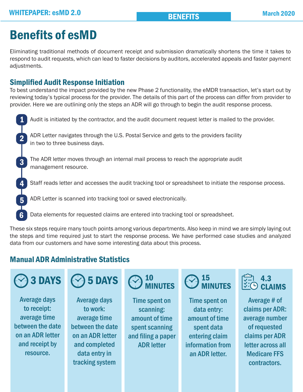# Benefits of esMD

Eliminating traditional methods of document receipt and submission dramatically shortens the time it takes to respond to audit requests, which can lead to faster decisions by auditors, accelerated appeals and faster payment adjustments.

#### Simplified Audit Response Initiation

To best understand the impact provided by the new Phase 2 functionality, the eMDR transaction, let's start out by reviewing today's typical process for the provider. The details of this part of the process can differ from provider to provider. Here we are outlining only the steps an ADR will go through to begin the audit response process.

Audit is initiated by the contractor, and the audit document request letter is mailed to the provider. ADR Letter navigates through the U.S. Postal Service and gets to the providers facility in two to three business days. The ADR letter moves through an internal mail process to reach the appropriate audit management resource. Staff reads letter and accesses the audit tracking tool or spreadsheet to initiate the response process. ADR Letter is scanned into tracking tool or saved electronically. Data elements for requested claims are entered into tracking tool or spreadsheet. 1 2 3 4 5 6

These six steps require many touch points among various departments. Also keep in mind we are simply laying out the steps and time required just to start the response process. We have performed case studies and analyzed data from our customers and have some interesting data about this process.

#### Manual ADR Administrative Statistics



Average days to receipt: average time between the date on an ADR letter and receipt by resource.

5 DAYS

Average days to work: average time between the date on an ADR letter and completed data entry in tracking system

#### 10 **AINUTES**

Time spent on scanning: amount of time spent scanning and filing a paper ADR letter

#### 15 MINUTES

Time spent on data entry: amount of time spent data entering claim information from an ADR letter.

#### 4.3 CLAIMS

Average # of claims per ADR: average number of requested claims per ADR letter across all Medicare FFS contractors.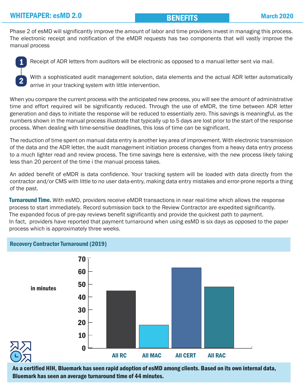#### BENEFITS

Phase 2 of esMD will significantly improve the amount of labor and time providers invest in managing this process. The electronic receipt and notification of the eMDR requests has two components that will vastly improve the manual process



Receipt of ADR letters from auditors will be electronic as opposed to a manual letter sent via mail.

With a sophisticated audit management solution, data elements and the actual ADR letter automatically arrive in your tracking system with little intervention.

When you compare the current process with the anticipated new process, you will see the amount of administrative time and effort required will be significantly reduced. Through the use of eMDR, the time between ADR letter generation and days to initiate the response will be reduced to essentially zero. This savings is meaningful, as the numbers shown in the manual process illustrate that typically up to 5 days are lost prior to the start of the response process. When dealing with time-sensitive deadlines, this loss of time can be significant.

The reduction of time spent on manual data entry is another key area of improvement. With electronic transmission of the data and the ADR letter, the audit management initiation process changes from a heavy data entry process to a much lighter read and review process. The time savings here is extensive, with the new process likely taking less than 20 percent of the time i the manual process takes.

An added benefit of eMDR is data confidence. Your tracking system will be loaded with data directly from the contractor and/or CMS with little to no user data-entry, making data entry mistakes and error-prone reports a thing of the past.

**Turnaround Time.** With esMD, providers receive eMDR transactions in near real-time which allows the response process to start immediately. Record submission back to the Review Contractor are expedited significantly. The expanded focus of pre-pay reviews benefit significantly and provide the quickest path to payment. In fact, providers have reported that payment turnaround when using esMD is six days as opposed to the paper process which is approximately three weeks.



As a certified HIH, Bluemark has seen rapid adoption of esMD among clients. Based on its own internal data, Bluemark has seen an average turnaround time of 44 minutes.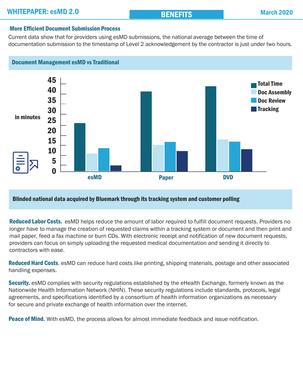#### More Efficient Document Submission Process

Current data show that for providers using esMD submissions, the national average between the time of documentation submission to the timestamp of Level 2 acknowledgement by the contractor is just under two hours.



#### Blinded national data acquired by Bluemark through its tracking system and customer polling

Reduced Labor Costs. esMD helps reduce the amount of labor required to fulfill document requests. Providers no longer have to manage the creation of requested claims within a tracking system or document and then print and mail paper, feed a fax machine or burn CDs. With electronic receipt and notification of new document requests, providers can focus on simply uploading the requested medical documentation and sending it directly to . contractors with ease.

Reduced Hard Costs. esMD can reduce hard costs like printing, shipping materials, postage and other associated handling expenses.

**Security.** esMD complies with security regulations established by the eHealth Exchange, formerly known as the Nationwide Health Information Network (NHIN). These security regulations include standards, protocols, legal agreements, and specifications identified by a consortium of health information organizations as necessary for secure and private exchange of health information over the internet.

**Peace of Mind.** With esMD, the process allows for almost immediate feedback and issue notification.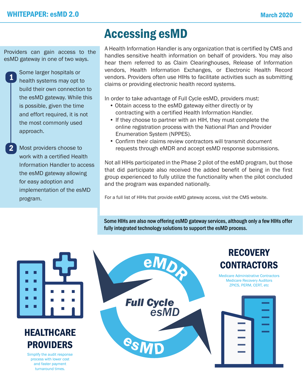## Accessing esMD

Providers can gain access to the esMD gateway in one of two ways.

1 Some larger hospitals or health systems may opt to build their own connection to the esMD gateway. While this is possible, given the time and effort required, it is not the most commonly used approach.

Most providers choose to work with a certified Health Information Handler to access the esMD gateway allowing for easy adoption and implementation of the esMD program.

2

A Health Information Handler is any organization that is certified by CMS and handles sensitive health information on behalf of providers. You may also hear them referred to as Claim Clearinghouses, Release of Information vendors, Health Information Exchanges, or Electronic Health Record vendors. Providers often use HIHs to facilitate activities such as submitting claims or providing electronic health record systems.

In order to take advantage of Full Cycle esMD, providers must:

- Obtain access to the esMD gateway either directly or by contracting with a certified Health Information Handler.
- If they choose to partner with an HIH, they must complete the online registration process with the National Plan and Provider Enumeration System (NPPES).
- Confirm their claims review contractors will transmit document requests through eMDR and accept esMD response submissions.

Not all HIHs participated in the Phase 2 pilot of the esMD program, but those that did participate also received the added benefit of being in the first group experienced to fully utilize the functionality when the pilot concluded and the program was expanded nationally.

For a full list of HIHs that provide esMD gateway access, visit the CMS website.

Some HIHs are also now offering esMD gateway services, although only a few HIHs offer fully integrated technology solutions to support the esMD process.

Τ Г г

### **HEALTHCARE** PROVIDERS

Simplify the audit response process with lower cost and faster payment turnaround times.

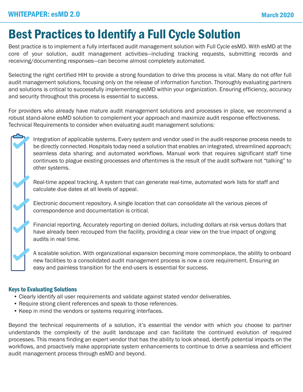# Best Practices to Identify a Full Cycle Solution

Best practice is to implement a fully interfaced audit management solution with Full Cycle esMD. With esMD at the core of your solution, audit management activities—including tracking requests, submitting records and receiving/documenting responses—can become almost completely automated.

Selecting the right certified HIH to provide a strong foundation to drive this process is vital. Many do not offer full audit management solutions, focusing only on the release of information function. Thoroughly evaluating partners and solutions is critical to successfully implementing esMD within your organization. Ensuring efficiency, accuracy and security throughout this process is essential to success.

For providers who already have mature audit management solutions and processes in place, we recommend a robust stand-alone esMD solution to complement your approach and maximize audit response effectiveness. Technical Requirements to consider when evaluating audit management solutions:

Integration of applicable systems. Every system and vendor used in the audit-response process needs to be directly connected. Hospitals today need a solution that enables an integrated, streamlined approach; seamless data sharing; and automated workflows. Manual work that requires significant staff time continues to plague existing processes and oftentimes is the result of the audit software not "talking" to other systems.

Real-time appeal tracking. A system that can generate real-time, automated work lists for staff and calculate due dates at all levels of appeal.

Electronic document repository. A single location that can consolidate all the various pieces of correspondence and documentation is critical.

Financial reporting. Accurately reporting on denied dollars, including dollars at-risk versus dollars that have already been recouped from the facility, providing a clear view on the true impact of ongoing audits in real time.

A scalable solution. With organizational expansion becoming more commonplace, the ability to onboard new facilities to a consolidated audit management process is now a core requirement. Ensuring an easy and painless transition for the end-users is essential for success.

#### Keys to Evaluating Solutions

- Clearly identify all user requirements and validate against stated vendor deliverables.
- Require strong client references and speak to those references.
- Keep in mind the vendors or systems requiring interfaces.

Beyond the technical requirements of a solution, it's essential the vendor with which you choose to partner understands the complexity of the audit landscape and can facilitate the continued evolution of required processes. This means finding an expert vendor that has the ability to look ahead, identify potential impacts on the workflows, and proactively make appropriate system enhancements to continue to drive a seamless and efficient audit management process through esMD and beyond.